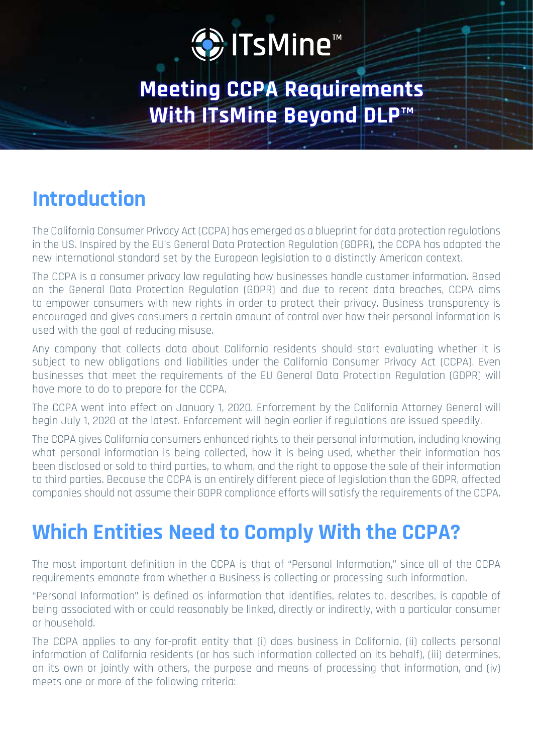# D ITsMine™

**Meeting CCPA Requirements With ITsMine Beyond DLP™** 

### **Introduction**

The California Consumer Privacy Act (CCPA) has emerged as a blueprint for data protection regulations in the US. Inspired by the EU's General Data Protection Regulation (GDPR), the CCPA has adapted the new international standard set by the European legislation to a distinctly American context.

The CCPA is a consumer privacy law regulating how businesses handle customer information. Based on the General Data Protection Regulation (GDPR) and due to recent data breaches, CCPA aims to empower consumers with new rights in order to protect their privacy. Business transparency is encouraged and gives consumers a certain amount of control over how their personal information is used with the goal of reducing misuse.

Any company that collects data about California residents should start evaluating whether it is subject to new obligations and liabilities under the California Consumer Privacy Act (CCPA). Even businesses that meet the requirements of the EU General Data Protection Requlation (GDPR) will have more to do to prepare for the CCPA.

The CCPA went into effect on January 1, 2020. Enforcement by the California Attorney General will begin July 1, 2020 at the latest. Enforcement will begin earlier if regulations are issued speedily.

The CCPA gives California consumers enhanced rights to their personal information, including knowing what personal information is being collected, how it is being used, whether their information has been disclosed or sold to third parties, to whom, and the right to oppose the sale of their information to third parties. Because the CCPA is an entirely different piece of legislation than the GDPR, affected companies should not assume their GDPR compliance efforts will satisfy the requirements of the CCPA.

### **Which Entities Need to Comply With the CCPA?**

The most important definition in the CCPA is that of "Personal Information," since all of the CCPA requirements emanate from whether a Business is collecting or processing such information.

"Personal Information" is defined as information that identifies, relates to, describes, is capable of being associated with or could reasonably be linked, directly or indirectly, with a particular consumer or household.

The CCPA applies to any for-profit entity that (i) does business in California, (ii) collects personal information of California residents (or has such information collected on its behalf), (iii) determines, on its own or jointly with others, the purpose and means of processing that information, and (iv) meets one or more of the following criteria: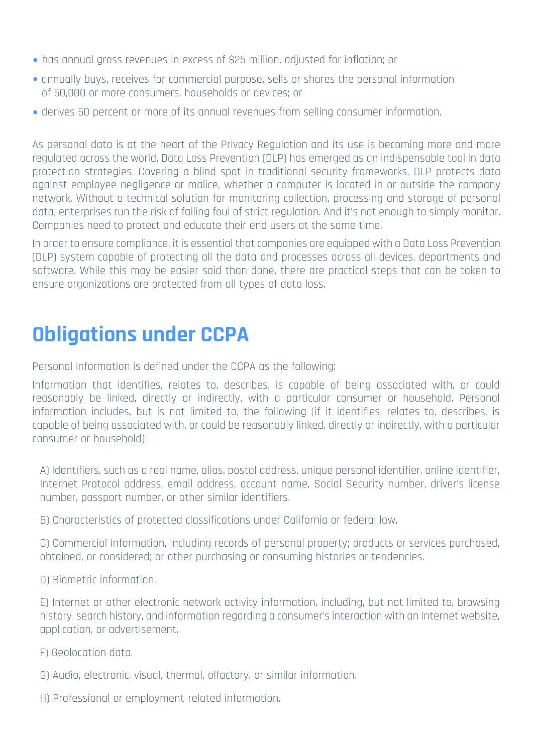- has annual gross revenues in excess of \$25 million, adjusted for inflation; or
- annually buys, receives for commercial purpose, sells or shares the personal information of 50,000 or more consumers, households or devices; or
- derives 50 percent or more of its annual revenues from selling consumer information.

As personal data is at the heart of the Privacy Regulation and its use is becoming more and more regulated across the world. Data Loss Prevention (DLP) has emerged as an indispensable tool in data protection strategies. Covering a blind spot in traditional security frameworks, DLP protects data against emplovee negligence or malice, whether a computer is located in or outside the company network. Without a technical solution for monitoring collection, processing and storage of personal data, enterprises run the risk of falling foul of strict regulation. And it's not enough to simply monitor, Companies need to protect and educate their end users at the same time.

In order to ensure compliance, it is essential that companies are equipped with a Data Loss Prevention (DLP) system capable of protecting all the data and processes across all devices, departments and software. While this may be easier said than done, there are practical steps that can be taken to ensure organizations are protected from all types of data loss.

### **Obligations under CCPA**

Personal information is defined under the CCPA as the following:

Information that identifies, relates to, describes, is capable of being associated with, or could reasonably be linked, directly or indirectly, with a particular consumer or household. Personal information includes, but is not limited to, the following (if it identifies, relates to, describes, is capable of being associated with, or could be reasonably linked, directly or indirectly, with a particular consumer or household);

A) Identifiers, such as a real name, alias, postal address, unique personal identifier, online identifier, Internet Protocol address, email address, account name, Social Security number, driver's license number, passport number, or other similar identifiers.

. B) Characteristics of protected classifications under California or federal law.

C) Commercial information, including records of personal property; products or services purchased, .tendencies obtained, or other purchasing or consuming histories or tendencies.

D) Biometric information.

E) Internet or other electronic network activity information, including, but not limited to, browsing history, search history, and information regarding a consumer's interaction with an Internet website. application, or advertisement.

F) Geolocation data.

- .information similar or ,olfactory ,thermal ,visual ,electronic ,Audio) G
- H) Professional or employment-related information.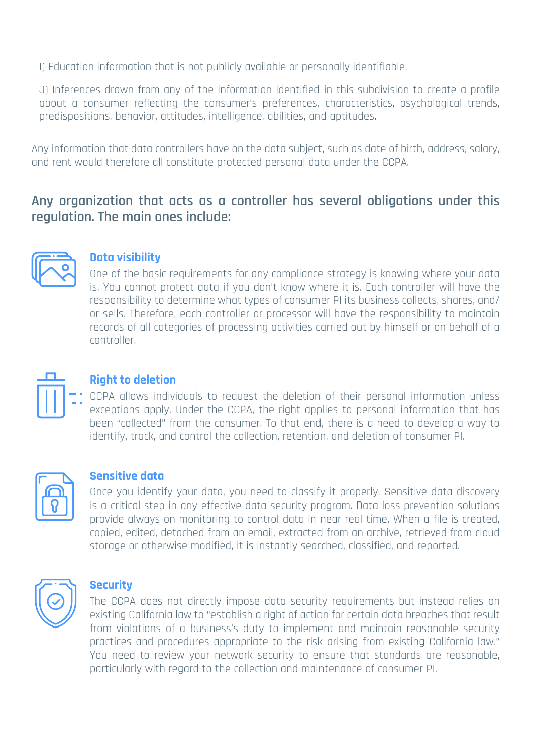I) Education information that is not publicly available or personally identifiable.

J) Inferences drawn from any of the information identified in this subdivision to create a profile about a consumer reflecting the consumer's preferences, characteristics, psychological trends, predispositions, behavior, attitudes, intelligence, abilities, and aptitudes.

Any information that data controllers have on the data subject, such as date of birth, address, salary, and rent would therefore all constitute protected personal data under the CCPA.

### Any organization that acts as a controller has several obligations under this regulation. The main ones include:



#### **visibility Data**

One of the basic requirements for any compliance strategy is knowing where your data is. You cannot protect data if you don't know where it is. Each controller will have the responsibility to determine what types of consumer PI its business collects, shares, and/ or sells. Therefore, each controller or processor will have the responsibility to maintain records of all categories of processing activities carried out by himself or on behalf of a .controller



#### **Right to deletion**

CCPA allows individuals to request the deletion of their personal information unless exceptions apply. Under the CCPA, the right applies to personal information that has been "collected" from the consumer. To that end, there is a need to develop a way to identify, track, and control the collection, retention, and deletion of consumer PI.



#### **Sensitive** data

Once you identify your data, you need to classify it properly. Sensitive data discovery is a critical step in any effective data security program. Data loss prevention solutions provide always-on monitoring to control data in near real time. When a file is created, copied, edited, detached from an email, extracted from an archive, retrieved from cloud storage or otherwise modified, it is instantly searched, classified, and reported.



#### **Security**

The CCPA does not directly impose data security requirements but instead relies on existing California law to "establish a right of action for certain data breaches that result from violations of a business's duty to implement and maintain reasonable security practices and procedures appropriate to the risk arising from existing California law." You need to review your network security to ensure that standards are reasonable, particularly with regard to the collection and maintenance of consumer PI.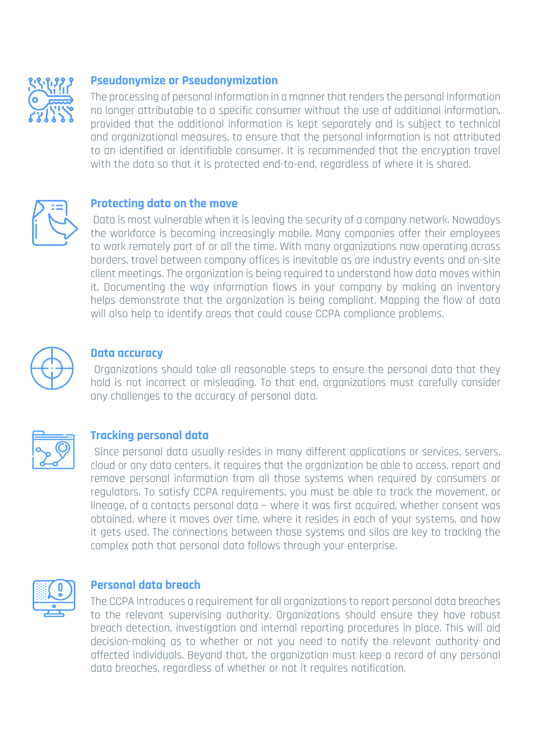

#### **Pseudonymize or Pseudonymization**

The processing of personal information in a manner that renders the personal information no longer attributable to a specific consumer without the use of additional information, provided that the additional information is kept separately and is subject to technical and organizational measures, to ensure that the personal information is not attributed to an identified or identifiable consumer. It is recommended that the encryption travel with the data so that it is protected end-to-end, regardless of where it is shared.



#### **Protecting data on the move**

Data is most vulnerable when it is leaving the security of a company network. Nowadays the workforce is becoming increasingly mobile. Many companies offer their employees to work remotely part of or all the time. With many organizations now operating across borders, travel between company offices is inevitable as are industry events and on-site client meetings. The organization is being required to understand how data moves within it. Documenting the way information flows in your company by making an inventory helps demonstrate that the organization is being compliant. Mapping the flow of data will also help to identify areas that could cause CCPA compliance problems.



#### **Data** accuracy

Organizations should take all reasonable steps to ensure the personal data that they hold is not incorrect or misleading. To that end, organizations must carefully consider any challenges to the accuracy of personal data.



#### **Tracking personal data**

Since personal data usually resides in many different applications or services, servers, cloud or any data centers, it requires that the organization be able to access, report and remove personal information from all those systems when required by consumers or regulators. To satisfy CCPA requirements, you must be able to track the movement, or linegge, of a contacts personal data – where it was first acquired, whether consent was obtained, where it moves over time, where it resides in each of your systems, and how it gets used. The connections between those systems and silos are key to tracking the complex path that personal data follows through your enterprise.



#### **Personal data breach**

The CCPA introduces a requirement for all organizations to report personal data breaches to the relevant supervising authority. Organizations should ensure they have robust breach detection, investigation and internal reporting procedures in place. This will aid decision-making as to whether or not you need to notify the relevant authority and affected individuals. Bevond that, the organization must keep a record of any personal data breaches, regardless of whether or not it reguires notification.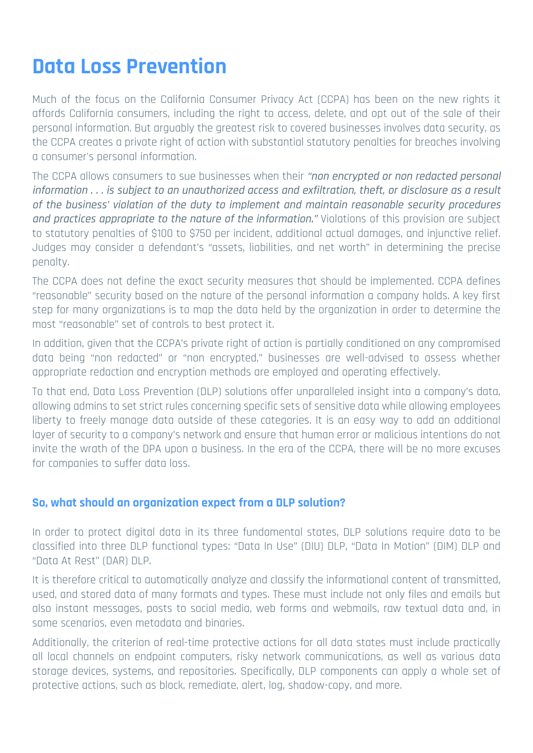### **Data Loss Prevention**

Much of the focus on the California Consumer Privacy Act (CCPA) has been on the new rights it affords California consumers, including the right to access, delete, and opt out of the sale of their personal information. But arguably the greatest risk to covered businesses involves data security, as the CCPA creates a private right of action with substantial statutory penalties for breaches involving a consumer's personal information.

The CCPA allows consumers to sue businesses when their "non encrypted or non redacted personal information . . . is subject to an unauthorized access and exfiltration, theft, or disclosure as a result of the business' violation of the duty to implement and maintain reasonable security procedures and practices appropriate to the nature of the information." Violations of this provision are subject to statutory penalties of \$100 to \$750 per incident, additional actual damages, and injunctive relief. Judges may consider a defendant's "assets, liabilities, and net worth" in determining the precise .penalty

The CCPA does not define the exact security measures that should be implemented. CCPA defines "reasonable" security based on the nature of the personal information a company holds. A key first step for many organizations is to map the data held by the organization in order to determine the most "reasonable" set of controls to best protect it.

In addition, given that the CCPA's private right of action is partially conditioned on any compromised data being "non redacted" or "non encrypted." businesses are well-advised to assess whether appropriate redaction and encryption methods are employed and operating effectively.

To that end, Data Loss Prevention (DLP) solutions offer unparalleled insight into a company's data, allowing admins to set strict rules concerning specific sets of sensitive data while allowing emplovees liberty to freely mangge data outside of these categories. It is an easy way to add an additional layer of security to a company's network and ensure that human error or malicious intentions do not invite the wrath of the DPA upon a business. In the era of the CCPA, there will be no more excuses for companies to suffer data loss.

#### **So, what should an organization expect from a DLP solution?**

In order to protect digital data in its three fundamental states, DLP solutions require data to be classified into three DLP functional types; "Data In Use" (DIU) DLP, "Data In Motion" (DIM) DLP and "Data At Rest" (DAR) DLP.

It is therefore critical to automatically analyze and classify the informational content of transmitted, used, and stored data of many formats and types. These must include not only files and emails but also instant messages, posts to social media, web forms and webmails, raw textual data and, in some scenarios, even metadata and binaries.

Additionally, the criterion of real-time protective actions for all data states must include practically all local channels on endpoint computers, risky network communications, as well as various data storage devices, systems, and repositories. Specifically, DLP components can apply a whole set of protective actions, such as block, remediate, alert, log, shadow-copy, and more.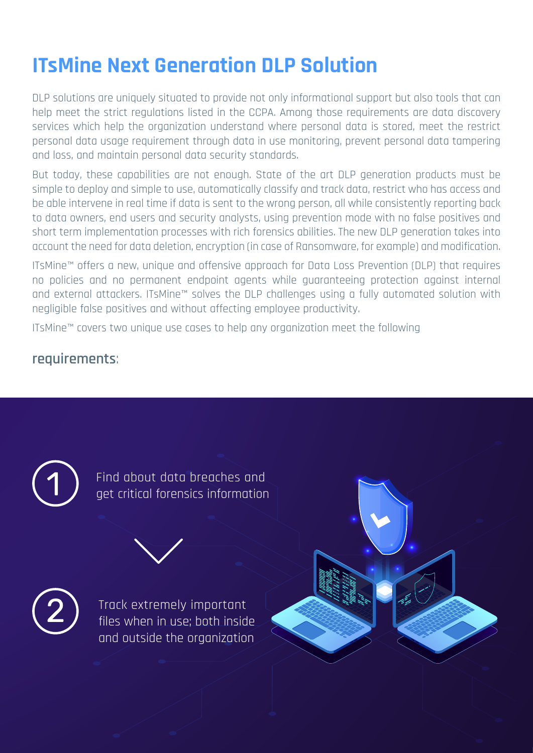# **ITsMine Next Generation DLP Solution**

DLP solutions are uniquely situated to provide not only informational support but also tools that can help meet the strict regulations listed in the CCPA. Among those requirements are data discovery services which help the organization understand where personal data is stored, meet the restrict personal data usage requirement through data in use monitoring, prevent personal data tampering and loss, and maintain personal data security standards.

But today, these capabilities are not enough. State of the art DLP generation products must be simple to deploy and simple to use, automatically classify and track data, restrict who has access and be able intervene in real time if data is sent to the wrong person, all while consistently reporting back to data owners, end users and security analysts, using prevention mode with no false positives and short term implementation processes with rich forensics abilities. The new DLP generation takes into account the need for data deletion, encryption (in case of Ransomware, for example) and modification.

ITsMine™ offers a new, unique and offensive approach for Data Loss Prevention (DLP) that requires no policies and no permanent endpoint agents while guaranteeing protection against internal and external attackers. ITsMine™ solves the DLP challenges using a fully automated solution with negligible false positives and without affecting employee productivity.

ITsMine™ covers two unique use cases to help any organization meet the following

### :**requirements**

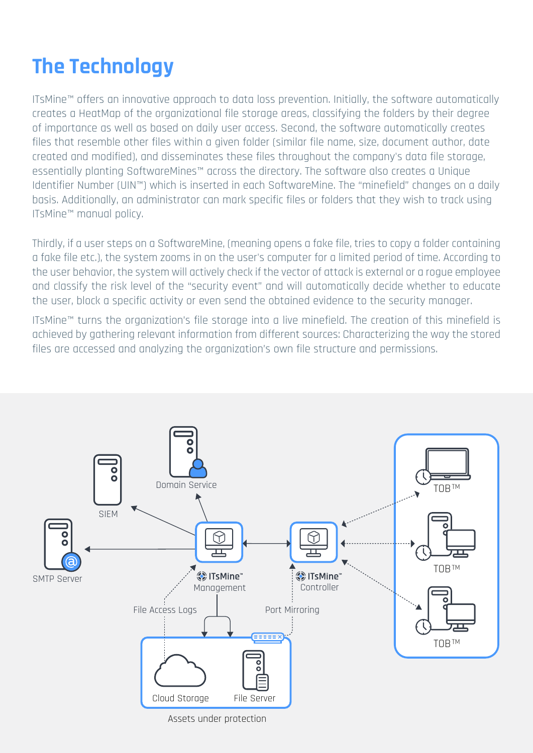# **The Technology**

ITsMine™ offers an innovative approach to data loss prevention. Initially, the software automatically creates a HeatMap of the organizational file storage areas, classifying the folders by their degree of importance as well as based on daily user access. Second, the software automatically creates files that resemble other files within a given folder (similar file name, size, document author, date created and modified), and disseminates these files throughout the company's data file storage, essentially planting SoftwareMines™ across the directory. The software also creates a Unique Identifier Number (UIN™) which is inserted in each SoftwareMine. The "minefield" changes on a daily basis. Additionally, an administrator can mark specific files or folders that they wish to track using ITsMine™ manual policy.

Thirdly, if a user steps on a SoftwareMine, (meaning opens a fake file, tries to copy a folder containing a fake file etc.), the system zooms in on the user's computer for a limited period of time. According to the user behavior, the system will actively check if the vector of attack is external or a roque employee and classify the risk level of the "security event" and will automatically decide whether to educate the user, block a specific activity or even send the obtained evidence to the security manager.

ITsMine™ turns the organization's file storage into a live minefield. The creation of this minefield is achieved by gathering relevant information from different sources: Characterizing the way the stored files are accessed and analyzing the organization's own file structure and permissions.

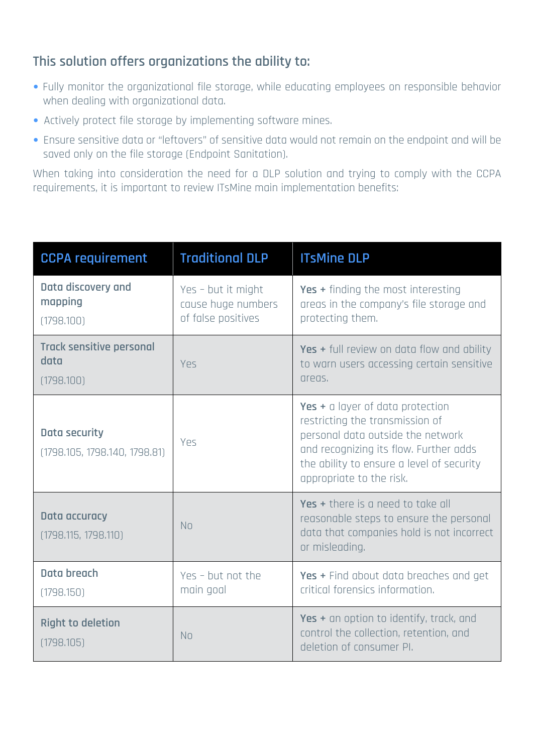### This solution offers organizations the ability to:

- Fully monitor the organizational file storage, while educating employees on responsible behavior when dealing with organizational data.
- Actively protect file storage by implementing software mines.
- Ensure sensitive data or "leftovers" of sensitive data would not remain on the endpoint and will be saved only on the file storage (Endpoint Sanitation).

When taking into consideration the need for a DLP solution and trying to comply with the CCPA requirements, it is important to review ITsMine main implementation benefits:

| <b>CCPA requirement</b>                               | <b>Traditional DLP</b>                                         | <b>ITsMine DLP</b>                                                                                                                                                                                                          |
|-------------------------------------------------------|----------------------------------------------------------------|-----------------------------------------------------------------------------------------------------------------------------------------------------------------------------------------------------------------------------|
| Data discovery and<br>mapping<br>(1798.100)           | Yes - but it might<br>cause huge numbers<br>of false positives | Yes + finding the most interesting<br>areas in the company's file storage and<br>protecting them.                                                                                                                           |
| <b>Track sensitive personal</b><br>data<br>(1798.100) | Yes                                                            | Yes + full review on data flow and ability<br>to warn users accessing certain sensitive<br>areas.                                                                                                                           |
| Data security<br>(1798.105, 1798.140, 1798.81)        | Yes                                                            | Yes + a layer of data protection<br>restricting the transmission of<br>personal data outside the network<br>and recognizing its flow. Further adds<br>the ability to ensure a level of security<br>appropriate to the risk. |
| Data accuracy<br>(1798.115, 1798.110)                 | <b>No</b>                                                      | Yes + there is a need to take all<br>reasonable steps to ensure the personal<br>data that companies hold is not incorrect<br>or misleading.                                                                                 |
| Data breach<br>(1798.150)                             | Yes - but not the<br>main goal                                 | Yes + Find about data breaches and get<br>critical forensics information.                                                                                                                                                   |
| <b>Right to deletion</b><br>(1798.105)                | <b>No</b>                                                      | Yes + an option to identify, track, and<br>control the collection, retention, and<br>deletion of consumer PI.                                                                                                               |